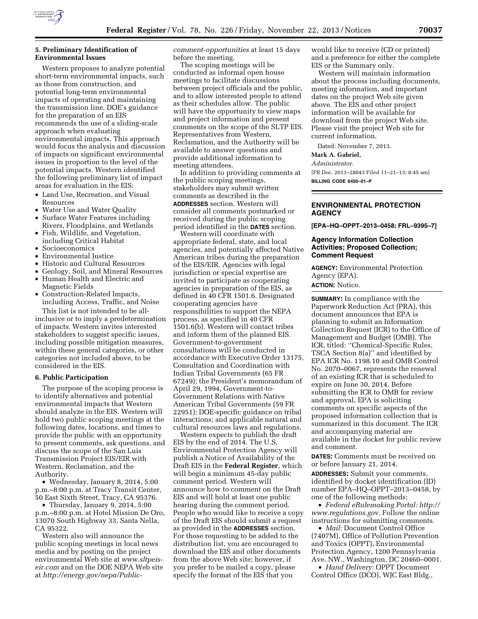

# **5. Preliminary Identification of Environmental Issues**

Western proposes to analyze potential short-term environmental impacts, such as those from construction, and potential long-term environmental impacts of operating and maintaining the transmission line. DOE's guidance for the preparation of an EIS recommends the use of a sliding-scale approach when evaluating environmental impacts. This approach would focus the analysis and discussion of impacts on significant environmental issues in proportion to the level of the potential impacts. Western identified the following preliminary list of impact areas for evaluation in the EIS:

- Land Use, Recreation, and Visual Resources
- Water Use and Water Quality
- Surface Water Features including Rivers, Floodplains, and Wetlands
- Fish, Wildlife, and Vegetation, including Critical Habitat
- Socioeconomics
- Environmental Justice
- Historic and Cultural Resources
- Geology, Soil, and Mineral Resources
- Human Health and Electric and Magnetic Fields
- Construction-Related Impacts, including Access, Traffic, and Noise

This list is not intended to be allinclusive or to imply a predetermination of impacts. Western invites interested stakeholders to suggest specific issues, including possible mitigation measures, within these general categories, or other categories not included above, to be considered in the EIS.

#### **6. Public Participation**

The purpose of the scoping process is to identify alternatives and potential environmental impacts that Western should analyze in the EIS. Western will hold two public scoping meetings at the following dates, locations, and times to provide the public with an opportunity to present comments, ask questions, and discuss the scope of the San Luis Transmission Project EIS/EIR with Western, Reclamation, and the Authority.

• Wednesday, January 8, 2014, 5:00 p.m.–8:00 p.m. at Tracy Transit Center, 50 East Sixth Street, Tracy, CA 95376.

• Thursday, January 9, 2014, 5:00 p.m.–8:00 p.m. at Hotel Mission De Oro, 13070 South Highway 33, Santa Nella, CA 95322.

Western also will announce the public scoping meetings in local news media and by posting on the project environmental Web site at *[www.sltpeis](http://www.sltpeis-eir.com)[eir.com](http://www.sltpeis-eir.com)* and on the DOE NEPA Web site at *[http://energy.gov/nepa/Public-](http://energy.gov/nepa/Public-comment-opportunities)* *[comment-opportunities](http://energy.gov/nepa/Public-comment-opportunities)* at least 15 days before the meeting.

The scoping meetings will be conducted as informal open house meetings to facilitate discussions between project officials and the public, and to allow interested people to attend as their schedules allow. The public will have the opportunity to view maps and project information and present comments on the scope of the SLTP EIS. Representatives from Western, Reclamation, and the Authority will be available to answer questions and provide additional information to meeting attendees.

In addition to providing comments at the public scoping meetings, stakeholders may submit written comments as described in the **ADDRESSES** section. Western will consider all comments postmarked or received during the public scoping period identified in the **DATES** section.

Western will coordinate with appropriate federal, state, and local agencies, and potentially affected Native American tribes during the preparation of the EIS/EIR. Agencies with legal jurisdiction or special expertise are invited to participate as cooperating agencies in preparation of the EIS, as defined in 40 CFR 1501.6. Designated cooperating agencies have responsibilities to support the NEPA process, as specified in 40 CFR 1501.6(b). Western will contact tribes and inform them of the planned EIS. Government-to-government consultations will be conducted in accordance with Executive Order 13175, Consultation and Coordination with Indian Tribal Governments (65 FR 67249); the President's memorandum of April 29, 1994, Government-to-Government Relations with Native American Tribal Governments (59 FR 22951); DOE-specific guidance on tribal interactions; and applicable natural and cultural resources laws and regulations.

Western expects to publish the draft EIS by the end of 2014. The U.S. Environmental Protection Agency will publish a Notice of Availability of the Draft EIS in the **Federal Register**, which will begin a minimum 45-day public comment period. Western will announce how to comment on the Draft EIS and will hold at least one public hearing during the comment period. People who would like to receive a copy of the Draft EIS should submit a request as provided in the **ADDRESSES** section. For those requesting to be added to the distribution list, you are encouraged to download the EIS and other documents from the above Web site; however, if you prefer to be mailed a copy, please specify the format of the EIS that you

would like to receive (CD or printed) and a preference for either the complete EIS or the Summary only.

Western will maintain information about the process including documents, meeting information, and important dates on the project Web site given above. The EIS and other project information will be available for download from the project Web site. Please visit the project Web site for current information.

Dated: November 7, 2013.

**Mark A. Gabriel,** 

*Administrator.* 

[FR Doc. 2013–28043 Filed 11–21–13; 8:45 am] **BILLING CODE 6450–01–P** 

# **ENVIRONMENTAL PROTECTION AGENCY**

**[EPA–HQ–OPPT–2013–0458; FRL–9395–7]** 

# **Agency Information Collection Activities; Proposed Collection; Comment Request**

**AGENCY:** Environmental Protection Agency (EPA).

**ACTION:** Notice.

**SUMMARY:** In compliance with the Paperwork Reduction Act (PRA), this document announces that EPA is planning to submit an Information Collection Request (ICR) to the Office of Management and Budget (OMB). The ICR, titled: ''Chemical-Specific Rules, TSCA Section 8(a)'' and identified by EPA ICR No. 1198.10 and OMB Control No. 2070–0067, represents the renewal of an existing ICR that is scheduled to expire on June 30, 2014. Before submitting the ICR to OMB for review and approval, EPA is soliciting comments on specific aspects of the proposed information collection that is summarized in this document. The ICR and accompanying material are available in the docket for public review and comment.

**DATES:** Comments must be received on or before January 21, 2014.

**ADDRESSES:** Submit your comments, identified by docket identification (ID) number EPA–HQ–OPPT–2013–0458, by one of the following methods:

• *Federal eRulemaking Portal: [http://](http://www.regulations.gov)  [www.regulations.gov](http://www.regulations.gov)*. Follow the online instructions for submitting comments.

• *Mail:* Document Control Office (7407M), Office of Pollution Prevention and Toxics (OPPT), Environmental Protection Agency, 1200 Pennsylvania Ave. NW., Washington, DC 20460–0001.

• *Hand Delivery:* OPPT Document Control Office (DCO), WJC East Bldg.,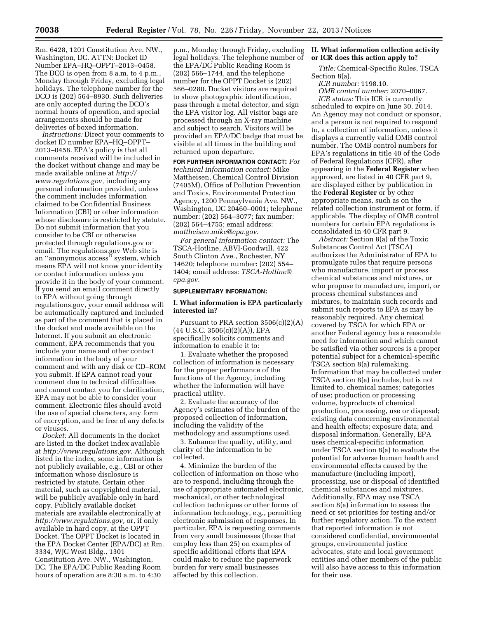Rm. 6428, 1201 Constitution Ave. NW., Washington, DC. ATTN: Docket ID Number EPA–HQ–OPPT–2013–0458. The DCO is open from 8 a.m. to 4 p.m., Monday through Friday, excluding legal holidays. The telephone number for the DCO is (202) 564–8930. Such deliveries are only accepted during the DCO's normal hours of operation, and special arrangements should be made for deliveries of boxed information.

*Instructions:* Direct your comments to docket ID number EPA–HQ–OPPT– 2013–0458. EPA's policy is that all comments received will be included in the docket without change and may be made available online at *[http://](http://www.regulations.gov) [www.regulations.gov,](http://www.regulations.gov)* including any personal information provided, unless the comment includes information claimed to be Confidential Business Information (CBI) or other information whose disclosure is restricted by statute. Do not submit information that you consider to be CBI or otherwise protected through regulations.gov or email. The regulations.gov Web site is an ''anonymous access'' system, which means EPA will not know your identity or contact information unless you provide it in the body of your comment. If you send an email comment directly to EPA without going through regulations.gov, your email address will be automatically captured and included as part of the comment that is placed in the docket and made available on the Internet. If you submit an electronic comment, EPA recommends that you include your name and other contact information in the body of your comment and with any disk or CD–ROM you submit. If EPA cannot read your comment due to technical difficulties and cannot contact you for clarification, EPA may not be able to consider your comment. Electronic files should avoid the use of special characters, any form of encryption, and be free of any defects or viruses.

*Docket:* All documents in the docket are listed in the docket index available at *<http://www.regulations.gov>*. Although listed in the index, some information is not publicly available, e.g., CBI or other information whose disclosure is restricted by statute. Certain other material, such as copyrighted material, will be publicly available only in hard copy. Publicly available docket materials are available electronically at *[http://www.regulations.gov,](http://www.regulations.gov)* or, if only available in hard copy, at the OPPT Docket. The OPPT Docket is located in the EPA Docket Center (EPA/DC) at Rm. 3334, WJC West Bldg., 1301 Constitution Ave. NW., Washington, DC. The EPA/DC Public Reading Room hours of operation are 8:30 a.m. to 4:30

p.m., Monday through Friday, excluding legal holidays. The telephone number of the EPA/DC Public Reading Room is (202) 566–1744, and the telephone number for the OPPT Docket is (202) 566–0280. Docket visitors are required to show photographic identification, pass through a metal detector, and sign the EPA visitor log. All visitor bags are processed through an X-ray machine and subject to search. Visitors will be provided an EPA/DC badge that must be visible at all times in the building and returned upon departure.

**FOR FURTHER INFORMATION CONTACT:** *For technical information contact:* Mike Mattheisen, Chemical Control Division (7405M), Office of Pollution Prevention and Toxics, Environmental Protection Agency, 1200 Pennsylvania Ave. NW., Washington, DC 20460–0001; telephone number: (202) 564–3077; fax number: (202) 564–4755; email address: *[mattheisen.mike@epa.gov](mailto:mattheisen.mike@epa.gov)*.

*For general information contact:* The TSCA-Hotline, ABVI-Goodwill, 422 South Clinton Ave., Rochester, NY 14620; telephone number: (202) 554– 1404; email address: *[TSCA-Hotline@](mailto:TSCA-Hotline@epa.gov) [epa.gov](mailto:TSCA-Hotline@epa.gov)*.

#### **SUPPLEMENTARY INFORMATION:**

#### **I. What information is EPA particularly interested in?**

Pursuant to PRA section 3506(c)(2)(A) (44 U.S.C. 3506(c)(2)(A)), EPA specifically solicits comments and information to enable it to:

1. Evaluate whether the proposed collection of information is necessary for the proper performance of the functions of the Agency, including whether the information will have practical utility.

2. Evaluate the accuracy of the Agency's estimates of the burden of the proposed collection of information, including the validity of the methodology and assumptions used.

3. Enhance the quality, utility, and clarity of the information to be collected.

4. Minimize the burden of the collection of information on those who are to respond, including through the use of appropriate automated electronic, mechanical, or other technological collection techniques or other forms of information technology, e.g., permitting electronic submission of responses. In particular, EPA is requesting comments from very small businesses (those that employ less than 25) on examples of specific additional efforts that EPA could make to reduce the paperwork burden for very small businesses affected by this collection.

## **II. What information collection activity or ICR does this action apply to?**

*Title:* Chemical-Specific Rules, TSCA Section 8(a).

*ICR number:* 1198.10.

*OMB control number:* 2070–0067. *ICR status:* This ICR is currently scheduled to expire on June 30, 2014. An Agency may not conduct or sponsor, and a person is not required to respond to, a collection of information, unless it displays a currently valid OMB control number. The OMB control numbers for EPA's regulations in title 40 of the Code of Federal Regulations (CFR), after appearing in the **Federal Register** when approved, are listed in 40 CFR part 9, are displayed either by publication in the **Federal Register** or by other appropriate means, such as on the related collection instrument or form, if applicable. The display of OMB control numbers for certain EPA regulations is consolidated in 40 CFR part 9.

*Abstract:* Section 8(a) of the Toxic Substances Control Act (TSCA) authorizes the Administrator of EPA to promulgate rules that require persons who manufacture, import or process chemical substances and mixtures, or who propose to manufacture, import, or process chemical substances and mixtures, to maintain such records and submit such reports to EPA as may be reasonably required. Any chemical covered by TSCA for which EPA or another Federal agency has a reasonable need for information and which cannot be satisfied via other sources is a proper potential subject for a chemical-specific TSCA section 8(a) rulemaking. Information that may be collected under TSCA section 8(a) includes, but is not limited to, chemical names; categories of use; production or processing volume, byproducts of chemical production, processing, use or disposal; existing data concerning environmental and health effects; exposure data; and disposal information. Generally, EPA uses chemical-specific information under TSCA section 8(a) to evaluate the potential for adverse human health and environmental effects caused by the manufacture (including import), processing, use or disposal of identified chemical substances and mixtures. Additionally, EPA may use TSCA section 8(a) information to assess the need or set priorities for testing and/or further regulatory action. To the extent that reported information is not considered confidential, environmental groups, environmental justice advocates, state and local government entities and other members of the public will also have access to this information for their use.